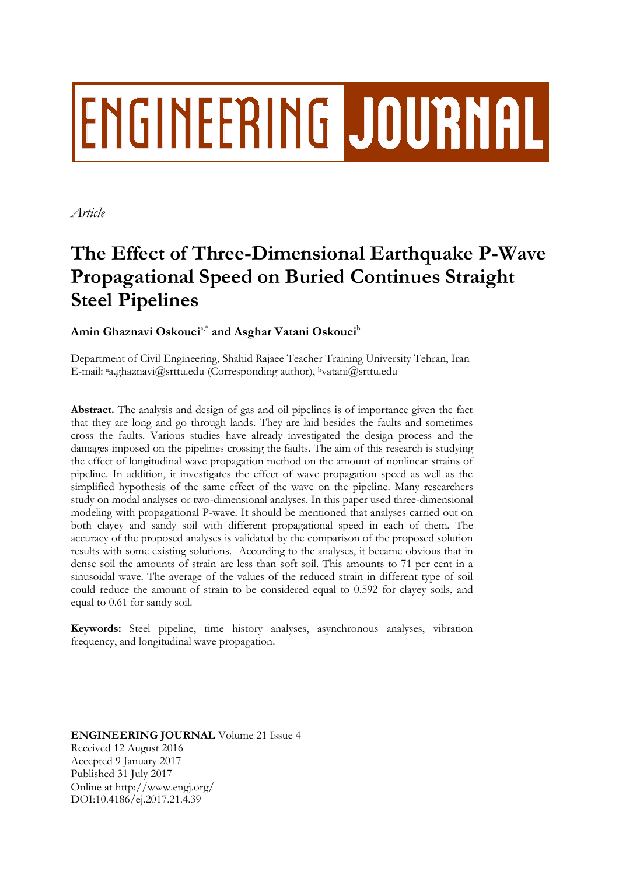# **ENGINEERING JOURNAL**

*Article*

# **The Effect of Three-Dimensional Earthquake P-Wave Propagational Speed on Buried Continues Straight Steel Pipelines**

# **Amin Ghaznavi Oskouei**a,\* **and Asghar Vatani Oskouei**<sup>b</sup>

Department of Civil Engineering, Shahid Rajaee Teacher Training University Tehran, Iran E-mail: <sup>a</sup>a.ghaznavi@srttu.edu (Corresponding author), bvatani@srttu.edu

**Abstract.** The analysis and design of gas and oil pipelines is of importance given the fact that they are long and go through lands. They are laid besides the faults and sometimes cross the faults. Various studies have already investigated the design process and the damages imposed on the pipelines crossing the faults. The aim of this research is studying the effect of longitudinal wave propagation method on the amount of nonlinear strains of pipeline. In addition, it investigates the effect of wave propagation speed as well as the simplified hypothesis of the same effect of the wave on the pipeline. Many researchers study on modal analyses or two-dimensional analyses. In this paper used three-dimensional modeling with propagational P-wave. It should be mentioned that analyses carried out on both clayey and sandy soil with different propagational speed in each of them. The accuracy of the proposed analyses is validated by the comparison of the proposed solution results with some existing solutions. According to the analyses, it became obvious that in dense soil the amounts of strain are less than soft soil. This amounts to 71 per cent in a sinusoidal wave. The average of the values of the reduced strain in different type of soil could reduce the amount of strain to be considered equal to 0.592 for clayey soils, and equal to 0.61 for sandy soil.

**Keywords:** Steel pipeline, time history analyses, asynchronous analyses, vibration frequency, and longitudinal wave propagation.

**ENGINEERING JOURNAL** Volume 21 Issue 4 Received 12 August 2016 Accepted 9 January 2017 Published 31 July 2017 Online at http://www.engj.org/ DOI:10.4186/ej.2017.21.4.39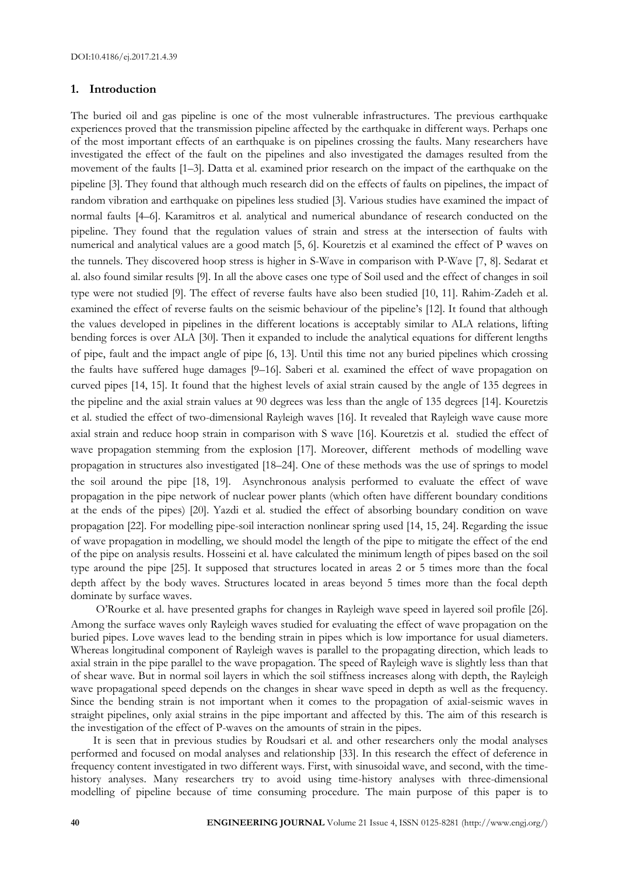# **1. Introduction**

The buried oil and gas pipeline is one of the most vulnerable infrastructures. The previous earthquake experiences proved that the transmission pipeline affected by the earthquake in different ways. Perhaps one of the most important effects of an earthquake is on pipelines crossing the faults. Many researchers have investigated the effect of the fault on the pipelines and also investigated the damages resulted from the movement of the faults [1–3]. Datta et al. examined prior research on the impact of the earthquake on the pipeline [3]. They found that although much research did on the effects of faults on pipelines, the impact of random vibration and earthquake on pipelines less studied [3]. Various studies have examined the impact of normal faults [4–6]. Karamitros et al. analytical and numerical abundance of research conducted on the pipeline. They found that the regulation values of strain and stress at the intersection of faults with numerical and analytical values are a good match [5, 6]. Kouretzis et al examined the effect of P waves on the tunnels. They discovered hoop stress is higher in S-Wave in comparison with P-Wave [7, 8]. Sedarat et al. also found similar results [9]. In all the above cases one type of Soil used and the effect of changes in soil type were not studied [9]. The effect of reverse faults have also been studied [10, 11]. Rahim-Zadeh et al. examined the effect of reverse faults on the seismic behaviour of the pipeline's [12]. It found that although the values developed in pipelines in the different locations is acceptably similar to ALA relations, lifting bending forces is over ALA [30]. Then it expanded to include the analytical equations for different lengths of pipe, fault and the impact angle of pipe [6, 13]. Until this time not any buried pipelines which crossing the faults have suffered huge damages [9–16]. Saberi et al. examined the effect of wave propagation on curved pipes [14, 15]. It found that the highest levels of axial strain caused by the angle of 135 degrees in the pipeline and the axial strain values at 90 degrees was less than the angle of 135 degrees [14]. Kouretzis et al. studied the effect of two-dimensional Rayleigh waves [16]. It revealed that Rayleigh wave cause more axial strain and reduce hoop strain in comparison with S wave [16]. Kouretzis et al. studied the effect of wave propagation stemming from the explosion [17]. Moreover, different methods of modelling wave propagation in structures also investigated [18–24]. One of these methods was the use of springs to model the soil around the pipe [18, 19]. Asynchronous analysis performed to evaluate the effect of wave propagation in the pipe network of nuclear power plants (which often have different boundary conditions at the ends of the pipes) [20]. Yazdi et al. studied the effect of absorbing boundary condition on wave propagation [22]. For modelling pipe-soil interaction nonlinear spring used [14, 15, 24]. Regarding the issue of wave propagation in modelling, we should model the length of the pipe to mitigate the effect of the end of the pipe on analysis results. Hosseini et al. have calculated the minimum length of pipes based on the soil type around the pipe [25]. It supposed that structures located in areas 2 or 5 times more than the focal depth affect by the body waves. Structures located in areas beyond 5 times more than the focal depth dominate by surface waves.

O'Rourke et al. have presented graphs for changes in Rayleigh wave speed in layered soil profile [26]. Among the surface waves only Rayleigh waves studied for evaluating the effect of wave propagation on the buried pipes. Love waves lead to the bending strain in pipes which is low importance for usual diameters. Whereas longitudinal component of Rayleigh waves is parallel to the propagating direction, which leads to axial strain in the pipe parallel to the wave propagation. The speed of Rayleigh wave is slightly less than that of shear wave. But in normal soil layers in which the soil stiffness increases along with depth, the Rayleigh wave propagational speed depends on the changes in shear wave speed in depth as well as the frequency. Since the bending strain is not important when it comes to the propagation of axial-seismic waves in straight pipelines, only axial strains in the pipe important and affected by this. The aim of this research is the investigation of the effect of P-waves on the amounts of strain in the pipes.

It is seen that in previous studies by Roudsari et al. and other researchers only the modal analyses performed and focused on modal analyses and relationship [33]. In this research the effect of deference in frequency content investigated in two different ways. First, with sinusoidal wave, and second, with the timehistory analyses. Many researchers try to avoid using time-history analyses with three-dimensional modelling of pipeline because of time consuming procedure. The main purpose of this paper is to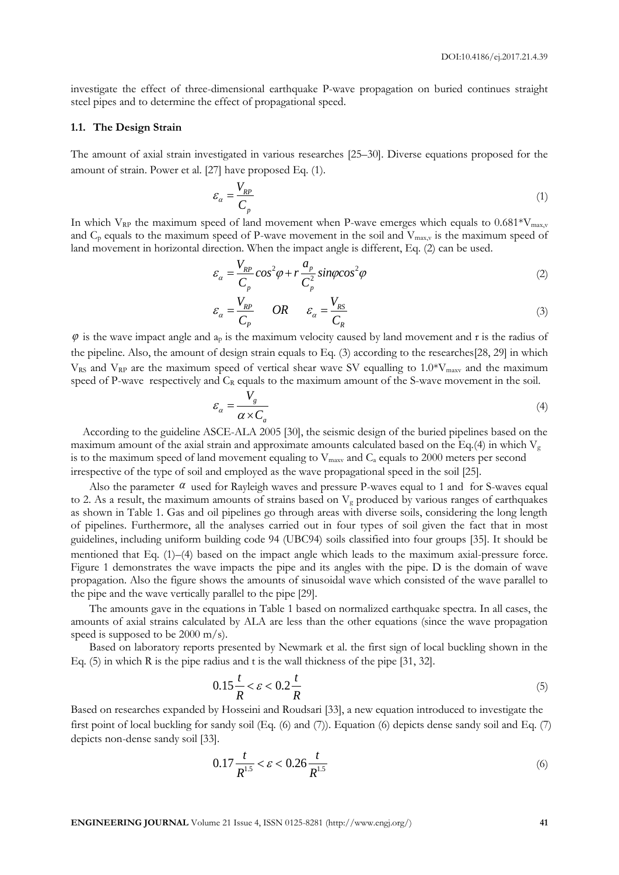investigate the effect of three-dimensional earthquake P-wave propagation on buried continues straight steel pipes and to determine the effect of propagational speed.

#### **1.1. The Design Strain**

The amount of axial strain investigated in various researches [25–30]. Diverse equations proposed for the amount of strain. Power et al. [27] have proposed Eq. (1).

$$
\varepsilon_{\alpha} = \frac{V_{RP}}{C_p} \tag{1}
$$

In which V<sub>RP</sub> the maximum speed of land movement when P-wave emerges which equals to  $0.681*V_{\text{max,v}}$ and  $C_p$  equals to the maximum speed of P-wave movement in the soil and  $V_{\text{max}}$  is the maximum speed of land movement in horizontal direction. When the impact angle is different, Eq. (2) can be used.

$$
\varepsilon_{\alpha} = \frac{V_{RP}}{C_p} \cos^2 \varphi + r \frac{a_p}{C_p^2} \sin \varphi \cos^2 \varphi
$$
\n(2)

$$
\varepsilon_{\alpha} = \frac{V_{RP}}{C_P} \qquad OR \qquad \varepsilon_{\alpha} = \frac{V_{RS}}{C_R} \tag{3}
$$

 $\varphi$  is the wave impact angle and  $a_p$  is the maximum velocity caused by land movement and r is the radius of the pipeline. Also, the amount of design strain equals to Eq. (3) according to the researches[28, 29] in which  $V_{RS}$  and  $V_{RP}$  are the maximum speed of vertical shear wave SV equalling to 1.0\* $V_{max}$  and the maximum speed of P-wave respectively and  $C_R$  equals to the maximum amount of the S-wave movement in the soil.

$$
\varepsilon_{\alpha} = \frac{V_g}{\alpha \times C_a} \tag{4}
$$

According to the guideline ASCE-ALA 2005 [30], the seismic design of the buried pipelines based on the maximum amount of the axial strain and approximate amounts calculated based on the Eq.(4) in which  $V_g$ is to the maximum speed of land movement equaling to  $V_{\text{maxv}}$  and  $C_{\text{a}}$  equals to 2000 meters per second irrespective of the type of soil and employed as the wave propagational speed in the soil [25].

Also the parameter  $\alpha$  used for Rayleigh waves and pressure P-waves equal to 1 and for S-waves equal to 2. As a result, the maximum amounts of strains based on  $V<sub>g</sub>$  produced by various ranges of earthquakes as shown in Table 1. Gas and oil pipelines go through areas with diverse soils, considering the long length of pipelines. Furthermore, all the analyses carried out in four types of soil given the fact that in most guidelines, including uniform building code 94 (UBC94) soils classified into four groups [35]. It should be mentioned that Eq. (1)–(4) based on the impact angle which leads to the maximum axial-pressure force. Figure 1 demonstrates the wave impacts the pipe and its angles with the pipe. D is the domain of wave propagation. Also the figure shows the amounts of sinusoidal wave which consisted of the wave parallel to the pipe and the wave vertically parallel to the pipe [29].

The amounts gave in the equations in Table 1 based on normalized earthquake spectra. In all cases, the amounts of axial strains calculated by ALA are less than the other equations (since the wave propagation speed is supposed to be 2000 m/s).

Based on laboratory reports presented by Newmark et al. the first sign of local buckling shown in the Eq. (5) in which R is the pipe radius and t is the wall thickness of the pipe [31, 32].

$$
0.15\frac{t}{R} < \varepsilon < 0.2\frac{t}{R} \tag{5}
$$

Based on researches expanded by Hosseini and Roudsari [33], a new equation introduced to investigate the first point of local buckling for sandy soil (Eq. (6) and (7)). Equation (6) depicts dense sandy soil and Eq. (7) depicts non-dense sandy soil [33].

$$
0.17 \frac{t}{R^{1.5}} < \varepsilon < 0.26 \frac{t}{R^{1.5}} \tag{6}
$$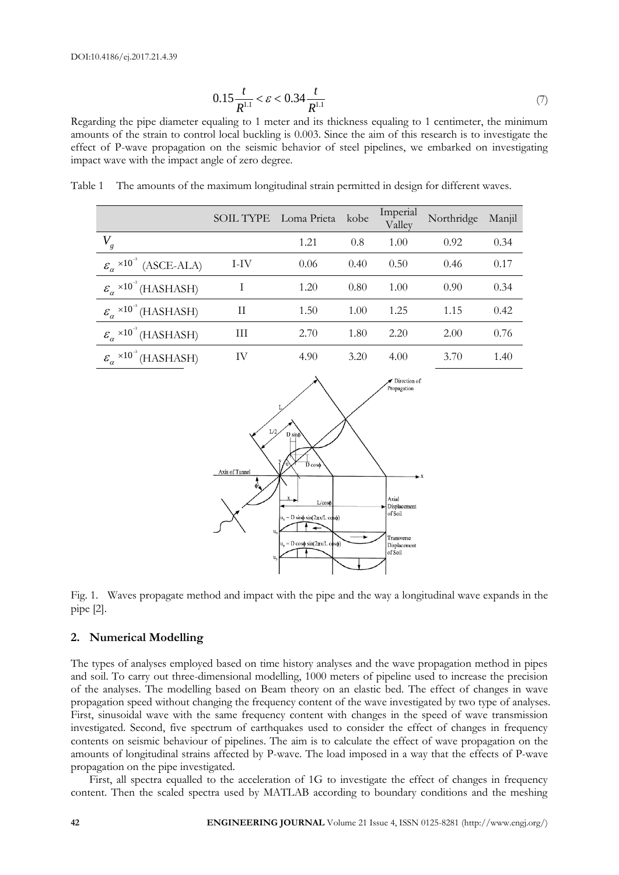$$
0.15\frac{t}{R^{1.1}} < \varepsilon < 0.34\frac{t}{R^{1.1}}\tag{7}
$$

Regarding the pipe diameter equaling to 1 meter and its thickness equaling to 1 centimeter, the minimum amounts of the strain to control local buckling is 0.003. Since the aim of this research is to investigate the effect of P-wave propagation on the seismic behavior of steel pipelines, we embarked on investigating impact wave with the impact angle of zero degree.

Table 1 The amounts of the maximum longitudinal strain permitted in design for different waves.

|                                                       | <b>SOIL TYPE</b> | Loma Prieta | kobe | Imperial<br>Valley | Northridge | Manjil |
|-------------------------------------------------------|------------------|-------------|------|--------------------|------------|--------|
| V<br>g                                                |                  | 1.21        | 0.8  | 1.00               | 0.92       | 0.34   |
| $\times 10^{-3}$ (ASCE-ALA)<br>$\mathcal{E}_{\alpha}$ | I-IV             | 0.06        | 0.40 | 0.50               | 0.46       | 0.17   |
| $\times 10^{-3}$ (HASHASH)<br>$\mathcal{E}_{\alpha}$  |                  | 1.20        | 0.80 | 1.00               | 0.90       | 0.34   |
| $\varepsilon_{\alpha}$ ×10 <sup>-3</sup> (HASHASH)    | H                | 1.50        | 1.00 | 1.25               | 1.15       | 0.42   |
| $\times 10^{-3}$ (HASHASH)<br>$\mathcal{E}_{\alpha}$  | Ш                | 2.70        | 1.80 | 2.20               | 2.00       | 0.76   |
| $\times 10^{-3}$ (HASHASH)<br>$\varepsilon_{\alpha}$  | IV               | 4.90        | 3.20 | 4.00               | 3.70       | 1.40   |



Fig. 1. Waves propagate method and impact with the pipe and the way a longitudinal wave expands in the pipe [2].

# **2. Numerical Modelling**

The types of analyses employed based on time history analyses and the wave propagation method in pipes and soil. To carry out three-dimensional modelling, 1000 meters of pipeline used to increase the precision of the analyses. The modelling based on Beam theory on an elastic bed. The effect of changes in wave propagation speed without changing the frequency content of the wave investigated by two type of analyses. First, sinusoidal wave with the same frequency content with changes in the speed of wave transmission investigated. Second, five spectrum of earthquakes used to consider the effect of changes in frequency contents on seismic behaviour of pipelines. The aim is to calculate the effect of wave propagation on the amounts of longitudinal strains affected by P-wave. The load imposed in a way that the effects of P-wave propagation on the pipe investigated.

First, all spectra equalled to the acceleration of 1G to investigate the effect of changes in frequency content. Then the scaled spectra used by MATLAB according to boundary conditions and the meshing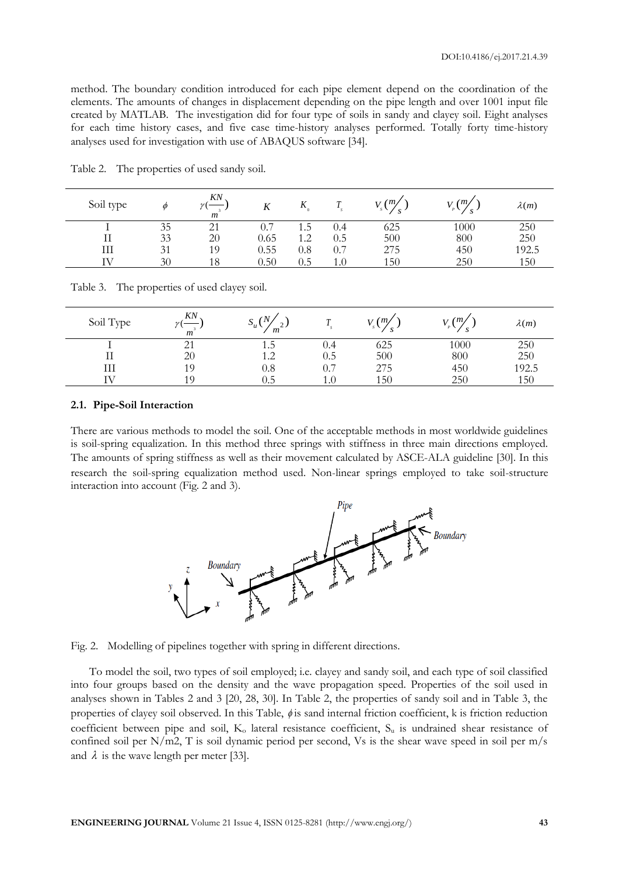method. The boundary condition introduced for each pipe element depend on the coordination of the elements. The amounts of changes in displacement depending on the pipe length and over 1001 input file created by MATLAB. The investigation did for four type of soils in sandy and clayey soil. Eight analyses for each time history cases, and five case time-history analyses performed. Totally forty time-history analyses used for investigation with use of ABAQUS software [34].

| Soil type |    | KN<br>$\boldsymbol{m}$   | $\bf{v}$ | Λ                  |         | m,<br>T/T | m,<br>V/I | $\lambda(m)$ |
|-----------|----|--------------------------|----------|--------------------|---------|-----------|-----------|--------------|
|           | 35 | $\sim$<br>$\overline{a}$ | 0.7      | 1.5                | 0.4     | 625       | 1000      | 250          |
| 11        | 33 | 20                       | 0.65     | 1 <sub>2</sub><br> | $0.5\,$ | 500       | 800       | 250          |
| Ш         | 31 | 19                       | 0.55     | $0.8\,$            | $0.7\,$ | 275       | 450       | 192.5        |
| TV        | 30 | 18                       | 0.50     | $0.5\,$            | 1.0     | 150       | 250       | 150          |

Table 2. The properties of used sandy soil.

Table 3. The properties of used clayey soil.

| Soil Type | KN<br>$\boldsymbol{m}$ | $\sqrt{N}$<br>$\sim$<br>$\mathbf{v}_u$<br>∠<br>m |         | V(m) | m,<br>T 7 | $\lambda(m)$ |
|-----------|------------------------|--------------------------------------------------|---------|------|-----------|--------------|
|           | 21                     | L.J                                              | U.4     | 625  | 1000      | 250          |
|           | 20                     |                                                  | $0.5\,$ | 500  | 800       | 250          |
| Ш         | 19                     | $_{0.8}$                                         | 0.7     | 275  | 450       | 192.5        |
| TV.       | 10                     | J.5                                              | 1.0     | 150  | 250       | 150          |

# **2.1. Pipe-Soil Interaction**

There are various methods to model the soil. One of the acceptable methods in most worldwide guidelines is soil-spring equalization. In this method three springs with stiffness in three main directions employed. The amounts of spring stiffness as well as their movement calculated by ASCE-ALA guideline [30]. In this research the soil-spring equalization method used. Non-linear springs employed to take soil-structure interaction into account (Fig. 2 and 3).



Fig. 2. Modelling of pipelines together with spring in different directions.

To model the soil, two types of soil employed; i.e. clayey and sandy soil, and each type of soil classified into four groups based on the density and the wave propagation speed. Properties of the soil used in analyses shown in Tables 2 and 3 [20, 28, 30]. In Table 2, the properties of sandy soil and in Table 3, the properties of clayey soil observed. In this Table,  $\phi$  is sand internal friction coefficient, k is friction reduction coefficient between pipe and soil, K<sub>o</sub> lateral resistance coefficient, S<sub>u</sub> is undrained shear resistance of confined soil per N/m2, T is soil dynamic period per second, Vs is the shear wave speed in soil per m/s and  $\lambda$  is the wave length per meter [33].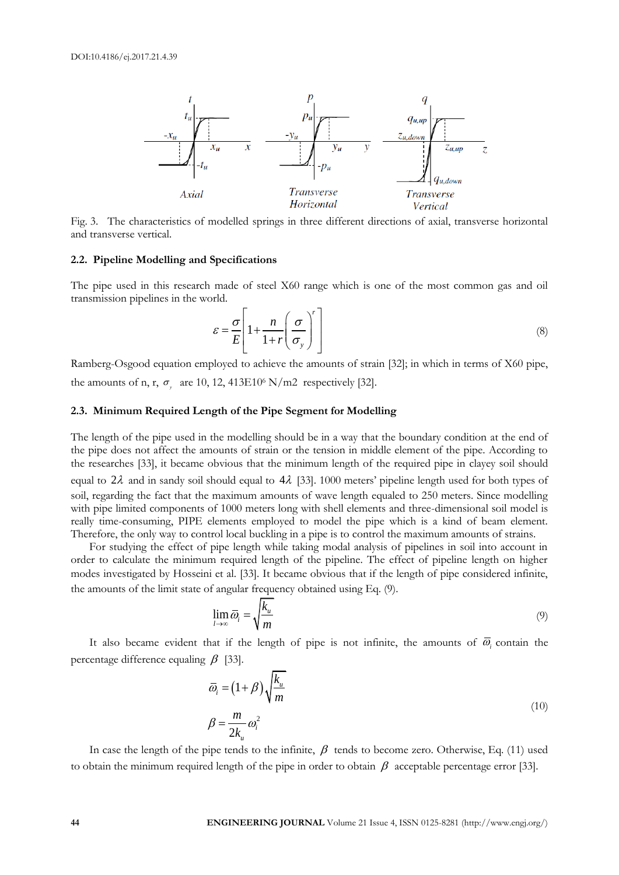

Fig. 3. The characteristics of modelled springs in three different directions of axial, transverse horizontal and transverse vertical.

#### **2.2. Pipeline Modelling and Specifications**

The pipe used in this research made of steel X60 range which is one of the most common gas and oil transmission pipelines in the world.

$$
\varepsilon = \frac{\sigma}{E} \left[ 1 + \frac{n}{1+r} \left( \frac{\sigma}{\sigma_y} \right)^r \right]
$$
\n(8)

Ramberg-Osgood equation employed to achieve the amounts of strain [32]; in which in terms of X60 pipe, the amounts of n, r,  $\sigma_{y}$  are 10, 12, 413E10<sup>6</sup> N/m2 respectively [32].

#### **2.3. Minimum Required Length of the Pipe Segment for Modelling**

The length of the pipe used in the modelling should be in a way that the boundary condition at the end of the pipe does not affect the amounts of strain or the tension in middle element of the pipe. According to the researches [33], it became obvious that the minimum length of the required pipe in clayey soil should equal to  $2\lambda$  and in sandy soil should equal to  $4\lambda$  [33]. 1000 meters' pipeline length used for both types of soil, regarding the fact that the maximum amounts of wave length equaled to 250 meters. Since modelling with pipe limited components of 1000 meters long with shell elements and three-dimensional soil model is really time-consuming, PIPE elements employed to model the pipe which is a kind of beam element. Therefore, the only way to control local buckling in a pipe is to control the maximum amounts of strains.

For studying the effect of pipe length while taking modal analysis of pipelines in soil into account in order to calculate the minimum required length of the pipeline. The effect of pipeline length on higher modes investigated by Hosseini et al. [33]. It became obvious that if the length of pipe considered infinite, the amounts of the limit state of angular frequency obtained using Eq. (9).

$$
\lim_{l \to \infty} \overline{\omega}_i = \sqrt{\frac{k_u}{m}} \tag{9}
$$

It also became evident that if the length of pipe is not infinite, the amounts of  $\overline{\omega}_i$  contain the percentage difference equaling  $\beta$  [33].

$$
\overline{\omega_i} = (1 + \beta) \sqrt{\frac{k_u}{m}}
$$
  

$$
\beta = \frac{m}{2k_u} \omega_i^2
$$
 (10)

In case the length of the pipe tends to the infinite,  $\beta$  tends to become zero. Otherwise, Eq. (11) used to obtain the minimum required length of the pipe in order to obtain  $\beta$  acceptable percentage error [33].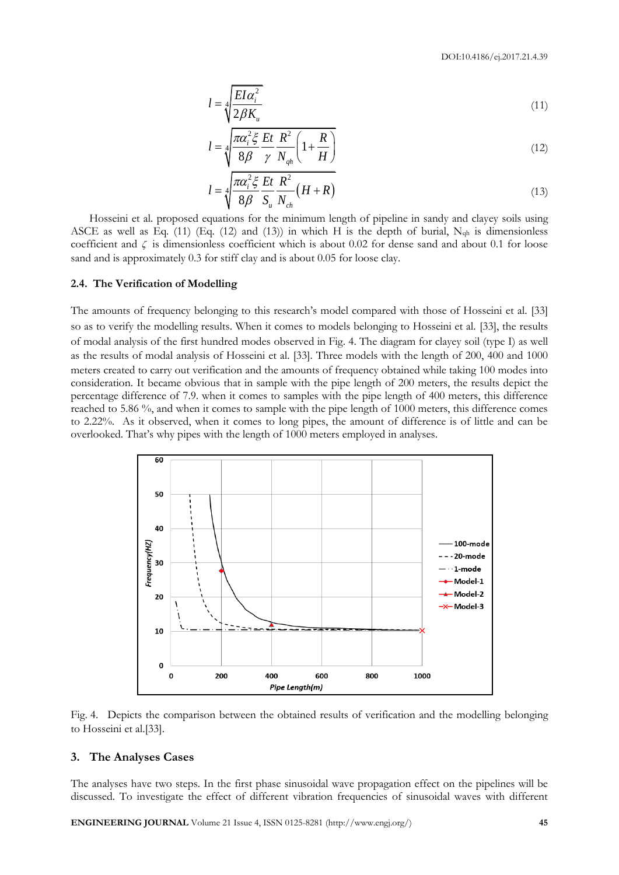$$
l = \sqrt[4]{\frac{EI\alpha_i^2}{2\beta K_u}}
$$
\n(11)

$$
l = \sqrt[4]{\frac{\pi \alpha_i^2 \xi}{8\beta} \frac{Et}{\gamma} \frac{R^2}{N_{qh}} \left(1 + \frac{R}{H}\right)}
$$
(12)

$$
l = \sqrt[4]{\frac{\pi \alpha_i^2 \xi}{8\beta} \frac{Et}{S_u} \frac{R^2}{N_{ch}} (H+R)}
$$
(13)

Hosseini et al. proposed equations for the minimum length of pipeline in sandy and clayey soils using ASCE as well as Eq. (11) (Eq. (12) and (13)) in which H is the depth of burial,  $N_{qh}$  is dimensionless coefficient and  $\zeta$  is dimensionless coefficient which is about 0.02 for dense sand and about 0.1 for loose sand and is approximately 0.3 for stiff clay and is about 0.05 for loose clay.

#### **2.4. The Verification of Modelling**

The amounts of frequency belonging to this research's model compared with those of Hosseini et al. [33] so as to verify the modelling results. When it comes to models belonging to Hosseini et al. [33], the results of modal analysis of the first hundred modes observed in Fig. 4. The diagram for clayey soil (type I) as well as the results of modal analysis of Hosseini et al. [33]. Three models with the length of 200, 400 and 1000 meters created to carry out verification and the amounts of frequency obtained while taking 100 modes into consideration. It became obvious that in sample with the pipe length of 200 meters, the results depict the percentage difference of 7.9. when it comes to samples with the pipe length of 400 meters, this difference reached to 5.86 %, and when it comes to sample with the pipe length of 1000 meters, this difference comes to 2.22%. As it observed, when it comes to long pipes, the amount of difference is of little and can be overlooked. That's why pipes with the length of 1000 meters employed in analyses.



Fig. 4. Depicts the comparison between the obtained results of verification and the modelling belonging to Hosseini et al.[33].

#### **3. The Analyses Cases**

The analyses have two steps. In the first phase sinusoidal wave propagation effect on the pipelines will be discussed. To investigate the effect of different vibration frequencies of sinusoidal waves with different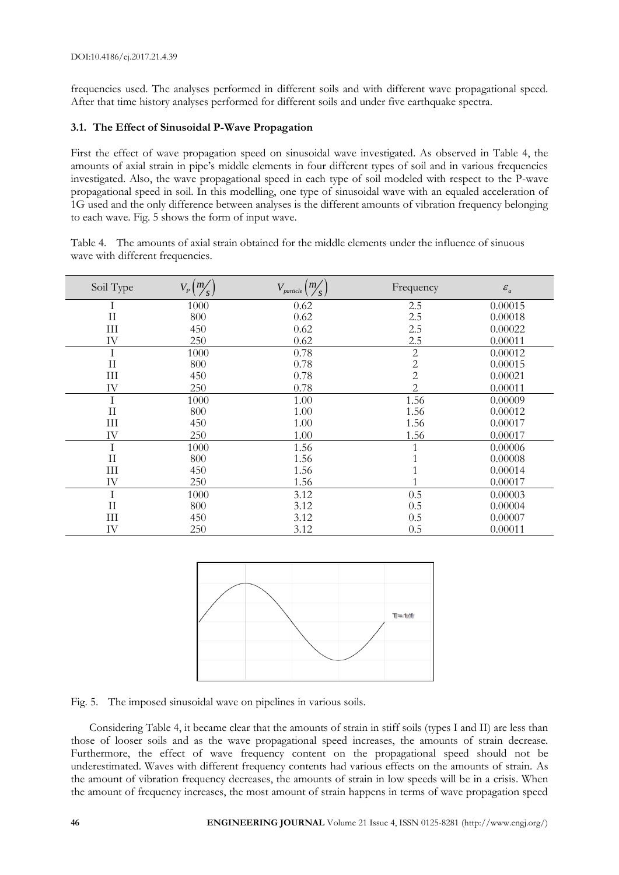frequencies used. The analyses performed in different soils and with different wave propagational speed. After that time history analyses performed for different soils and under five earthquake spectra.

# **3.1. The Effect of Sinusoidal P-Wave Propagation**

First the effect of wave propagation speed on sinusoidal wave investigated. As observed in Table 4, the amounts of axial strain in pipe's middle elements in four different types of soil and in various frequencies investigated. Also, the wave propagational speed in each type of soil modeled with respect to the P-wave propagational speed in soil. In this modelling, one type of sinusoidal wave with an equaled acceleration of 1G used and the only difference between analyses is the different amounts of vibration frequency belonging to each wave. Fig. 5 shows the form of input wave.

Table 4. The amounts of axial strain obtained for the middle elements under the influence of sinuous wave with different frequencies.

| Soil Type          | $V_p\left(\frac{m}{s}\right)$ | $V_{\mathit{particle}}\left(\frac{m}{s}\right)$ | Frequency      | $\mathcal{E}_a$ |
|--------------------|-------------------------------|-------------------------------------------------|----------------|-----------------|
|                    | 1000                          | 0.62                                            | 2.5            | 0.00015         |
| $\mathbf{I}$       | 800                           | 0.62                                            | 2.5            | 0.00018         |
| Ш                  | 450                           | 0.62                                            | 2.5            | 0.00022         |
| IV                 | 250                           | 0.62                                            | 2.5            | 0.00011         |
|                    | 1000                          | 0.78                                            | $\mathbf{2}$   | 0.00012         |
| $\mathbf{I}$       | 800                           | 0.78                                            | $\overline{c}$ | 0.00015         |
| Ш                  | 450                           | 0.78                                            | $\overline{2}$ | 0.00021         |
| IV                 | 250                           | 0.78                                            | 2              | 0.00011         |
| I                  | 1000                          | 1.00                                            | 1.56           | 0.00009         |
| $_{\rm II}$        | 800                           | 1.00                                            | 1.56           | 0.00012         |
| $\mathop{\rm III}$ | 450                           | 1.00                                            | 1.56           | 0.00017         |
| IV                 | 250                           | 1.00                                            | 1.56           | 0.00017         |
| I                  | 1000                          | 1.56                                            |                | 0.00006         |
| $_{\rm II}$        | 800                           | 1.56                                            |                | 0.00008         |
| Ш                  | 450                           | 1.56                                            |                | 0.00014         |
| IV                 | 250                           | 1.56                                            |                | 0.00017         |
| Ι                  | 1000                          | 3.12                                            | 0.5            | 0.00003         |
| $\mathbf{I}$       | 800                           | 3.12                                            | 0.5            | 0.00004         |
| Ш                  | 450                           | 3.12                                            | 0.5            | 0.00007         |
| IV                 | 250                           | 3.12                                            | 0.5            | 0.00011         |



Fig. 5. The imposed sinusoidal wave on pipelines in various soils.

Considering Table 4, it became clear that the amounts of strain in stiff soils (types I and II) are less than those of looser soils and as the wave propagational speed increases, the amounts of strain decrease. Furthermore, the effect of wave frequency content on the propagational speed should not be underestimated. Waves with different frequency contents had various effects on the amounts of strain. As the amount of vibration frequency decreases, the amounts of strain in low speeds will be in a crisis. When the amount of frequency increases, the most amount of strain happens in terms of wave propagation speed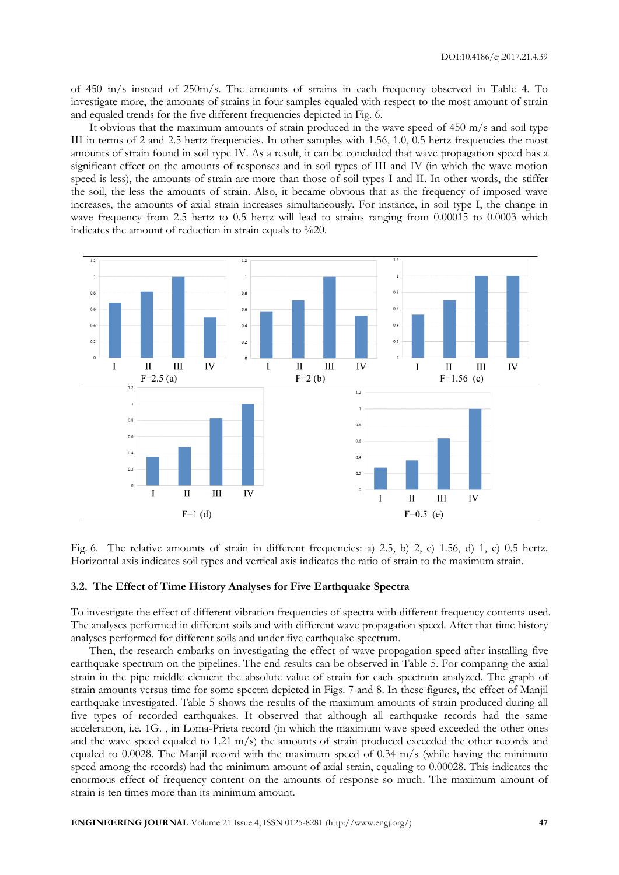of 450 m/s instead of 250m/s. The amounts of strains in each frequency observed in Table 4. To investigate more, the amounts of strains in four samples equaled with respect to the most amount of strain and equaled trends for the five different frequencies depicted in Fig. 6.

It obvious that the maximum amounts of strain produced in the wave speed of 450 m/s and soil type III in terms of 2 and 2.5 hertz frequencies. In other samples with 1.56, 1.0, 0.5 hertz frequencies the most amounts of strain found in soil type IV. As a result, it can be concluded that wave propagation speed has a significant effect on the amounts of responses and in soil types of III and IV (in which the wave motion speed is less), the amounts of strain are more than those of soil types I and II. In other words, the stiffer the soil, the less the amounts of strain. Also, it became obvious that as the frequency of imposed wave increases, the amounts of axial strain increases simultaneously. For instance, in soil type I, the change in wave frequency from 2.5 hertz to 0.5 hertz will lead to strains ranging from 0.00015 to 0.0003 which indicates the amount of reduction in strain equals to %20.



Fig. 6. The relative amounts of strain in different frequencies: a) 2.5, b) 2, c) 1.56, d) 1, e) 0.5 hertz. Horizontal axis indicates soil types and vertical axis indicates the ratio of strain to the maximum strain.

# **3.2. The Effect of Time History Analyses for Five Earthquake Spectra**

To investigate the effect of different vibration frequencies of spectra with different frequency contents used. The analyses performed in different soils and with different wave propagation speed. After that time history analyses performed for different soils and under five earthquake spectrum.

Then, the research embarks on investigating the effect of wave propagation speed after installing five earthquake spectrum on the pipelines. The end results can be observed in Table 5. For comparing the axial strain in the pipe middle element the absolute value of strain for each spectrum analyzed. The graph of strain amounts versus time for some spectra depicted in Figs. 7 and 8. In these figures, the effect of Manjil earthquake investigated. Table 5 shows the results of the maximum amounts of strain produced during all five types of recorded earthquakes. It observed that although all earthquake records had the same acceleration, i.e. 1G. , in Loma-Prieta record (in which the maximum wave speed exceeded the other ones and the wave speed equaled to 1.21 m/s) the amounts of strain produced exceeded the other records and equaled to 0.0028. The Manjil record with the maximum speed of 0.34 m/s (while having the minimum speed among the records) had the minimum amount of axial strain, equaling to 0.00028. This indicates the enormous effect of frequency content on the amounts of response so much. The maximum amount of strain is ten times more than its minimum amount.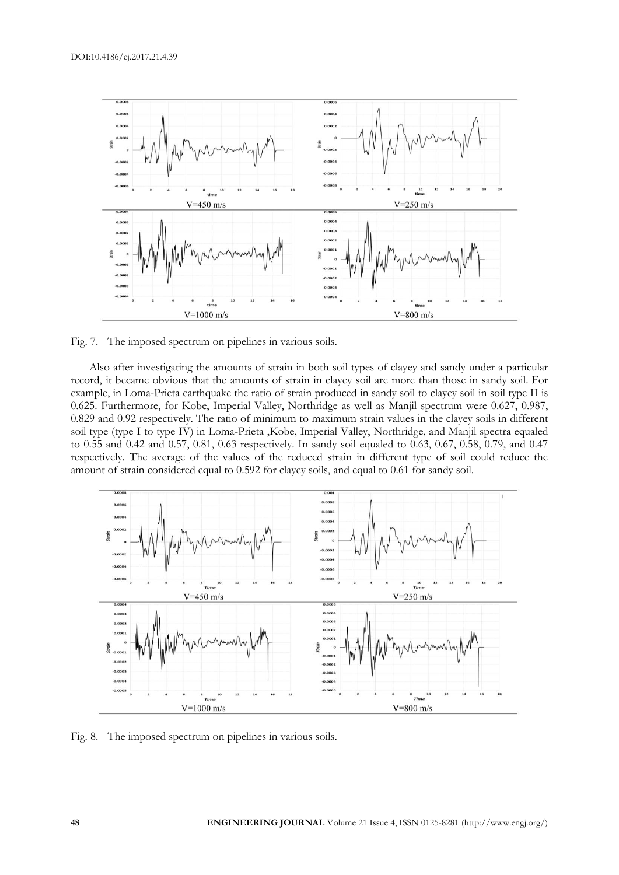

Fig. 7. The imposed spectrum on pipelines in various soils.

Also after investigating the amounts of strain in both soil types of clayey and sandy under a particular record, it became obvious that the amounts of strain in clayey soil are more than those in sandy soil. For example, in Loma-Prieta earthquake the ratio of strain produced in sandy soil to clayey soil in soil type II is 0.625. Furthermore, for Kobe, Imperial Valley, Northridge as well as Manjil spectrum were 0.627, 0.987, 0.829 and 0.92 respectively. The ratio of minimum to maximum strain values in the clayey soils in different soil type (type I to type IV) in Loma-Prieta ,Kobe, Imperial Valley, Northridge, and Manjil spectra equaled to 0.55 and 0.42 and 0.57, 0.81, 0.63 respectively. In sandy soil equaled to 0.63, 0.67, 0.58, 0.79, and 0.47 respectively. The average of the values of the reduced strain in different type of soil could reduce the amount of strain considered equal to 0.592 for clayey soils, and equal to 0.61 for sandy soil.



Fig. 8. The imposed spectrum on pipelines in various soils.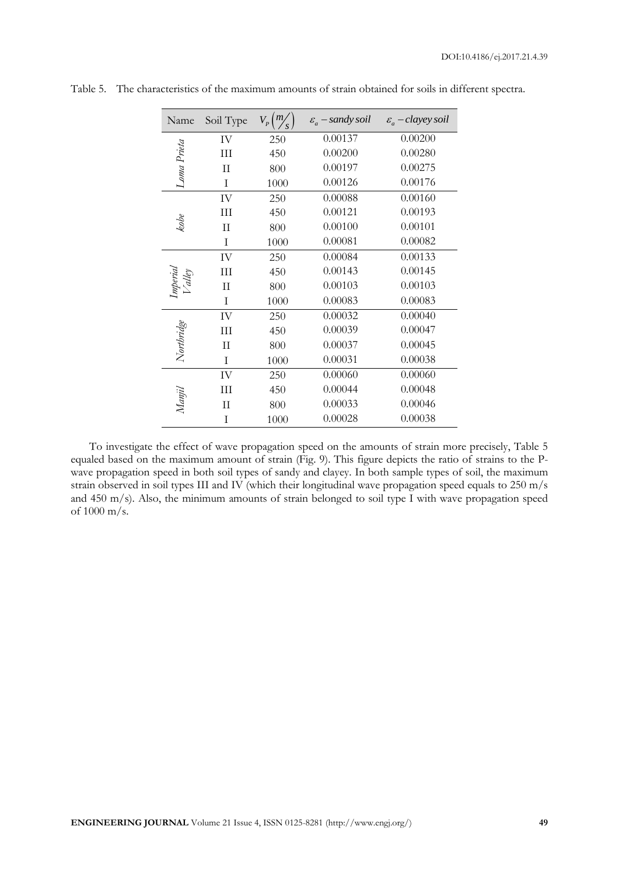| Name               | Soil Type    | $V_P\left(\frac{m}{s}\right)$ | $\varepsilon_a$ – sandy soil | $\varepsilon_a$ – clayey soil |
|--------------------|--------------|-------------------------------|------------------------------|-------------------------------|
| oma Prieta         | IV           | 250                           | 0.00137                      | 0.00200                       |
|                    | Ш            | 450                           | 0.00200                      | 0.00280                       |
|                    | $\mathbf{I}$ | 800                           | 0.00197                      | 0.00275                       |
|                    | T            | 1000                          | 0.00126                      | 0.00176                       |
|                    | IV           | 250                           | 0.00088                      | 0.00160                       |
|                    | IΗ           | 450                           | 0.00121                      | 0.00193                       |
| kobe               | $\mathbf{I}$ | 800                           | 0.00100                      | 0.00101                       |
|                    | Ι            | 1000                          | 0.00081                      | 0.00082                       |
|                    | IV           | 250                           | 0.00084                      | 0.00133                       |
| Imperial<br>Valley | Ш            | 450                           | 0.00143                      | 0.00145                       |
|                    | $\mathbf{I}$ | 800                           | 0.00103                      | 0.00103                       |
|                    | T            | 1000                          | 0.00083                      | 0.00083                       |
|                    | IV           | 250                           | 0.00032                      | 0.00040                       |
| Northridge         | III          | 450                           | 0.00039                      | 0.00047                       |
|                    | $_{\rm II}$  | 800                           | 0.00037                      | 0.00045                       |
|                    | I            | 1000                          | 0.00031                      | 0.00038                       |
|                    | IV           | 250                           | 0.00060                      | 0.00060                       |
|                    | Ш            | 450                           | 0.00044                      | 0.00048                       |
| Manjil             | $_{\rm II}$  | 800                           | 0.00033                      | 0.00046                       |
|                    | I            | 1000                          | 0.00028                      | 0.00038                       |

Table 5. The characteristics of the maximum amounts of strain obtained for soils in different spectra.

To investigate the effect of wave propagation speed on the amounts of strain more precisely, Table 5 equaled based on the maximum amount of strain (Fig. 9). This figure depicts the ratio of strains to the Pwave propagation speed in both soil types of sandy and clayey. In both sample types of soil, the maximum strain observed in soil types III and IV (which their longitudinal wave propagation speed equals to 250 m/s and 450 m/s). Also, the minimum amounts of strain belonged to soil type I with wave propagation speed of 1000 m/s.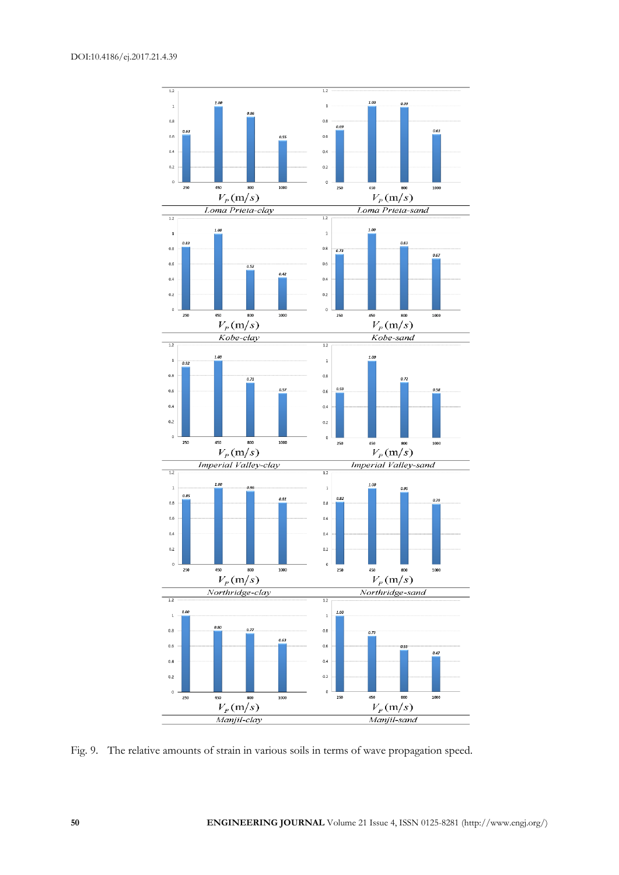

Fig. 9. The relative amounts of strain in various soils in terms of wave propagation speed.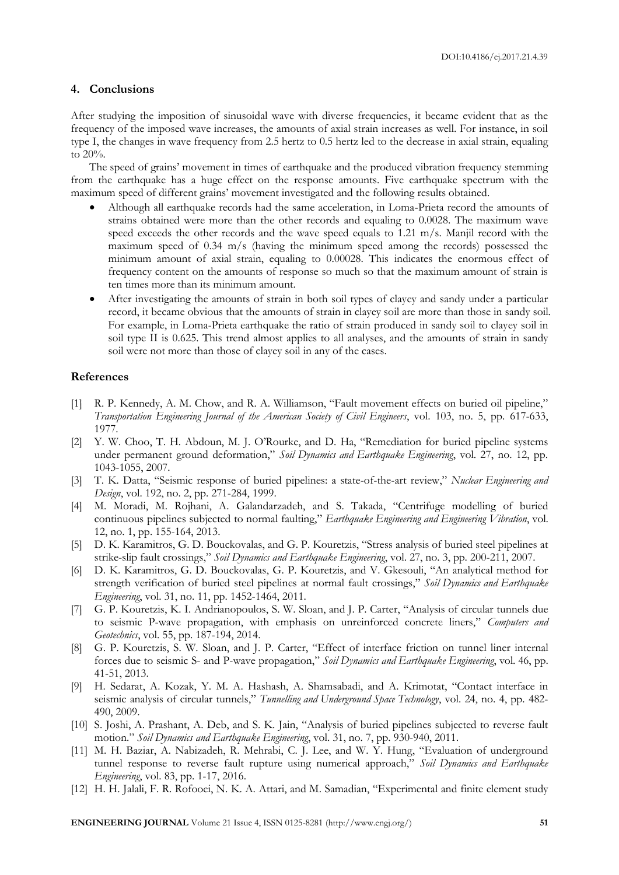# **4. Conclusions**

After studying the imposition of sinusoidal wave with diverse frequencies, it became evident that as the frequency of the imposed wave increases, the amounts of axial strain increases as well. For instance, in soil type I, the changes in wave frequency from 2.5 hertz to 0.5 hertz led to the decrease in axial strain, equaling to 20%.

The speed of grains' movement in times of earthquake and the produced vibration frequency stemming from the earthquake has a huge effect on the response amounts. Five earthquake spectrum with the maximum speed of different grains' movement investigated and the following results obtained.

- Although all earthquake records had the same acceleration, in Loma-Prieta record the amounts of strains obtained were more than the other records and equaling to 0.0028. The maximum wave speed exceeds the other records and the wave speed equals to 1.21 m/s. Manjil record with the maximum speed of 0.34 m/s (having the minimum speed among the records) possessed the minimum amount of axial strain, equaling to 0.00028. This indicates the enormous effect of frequency content on the amounts of response so much so that the maximum amount of strain is ten times more than its minimum amount.
- After investigating the amounts of strain in both soil types of clayey and sandy under a particular record, it became obvious that the amounts of strain in clayey soil are more than those in sandy soil. For example, in Loma-Prieta earthquake the ratio of strain produced in sandy soil to clayey soil in soil type II is 0.625. This trend almost applies to all analyses, and the amounts of strain in sandy soil were not more than those of clayey soil in any of the cases.

#### **References**

- [1] R. P. Kennedy, A. M. Chow, and R. A. Williamson, "Fault movement effects on buried oil pipeline," *Transportation Engineering Journal of the American Society of Civil Engineers*, vol. 103, no. 5, pp. 617-633, 1977.
- [2] Y. W. Choo, T. H. Abdoun, M. J. O'Rourke, and D. Ha, "Remediation for buried pipeline systems under permanent ground deformation," *Soil Dynamics and Earthquake Engineering*, vol. 27, no. 12, pp. 1043-1055, 2007.
- [3] T. K. Datta, "Seismic response of buried pipelines: a state-of-the-art review," *Nuclear Engineering and Design*, vol. 192, no. 2, pp. 271-284, 1999.
- [4] M. Moradi, M. Rojhani, A. Galandarzadeh, and S. Takada, "Centrifuge modelling of buried continuous pipelines subjected to normal faulting," *Earthquake Engineering and Engineering Vibration*, vol. 12, no. 1, pp. 155-164, 2013.
- [5] D. K. Karamitros, G. D. Bouckovalas, and G. P. Kouretzis, "Stress analysis of buried steel pipelines at strike-slip fault crossings," *Soil Dynamics and Earthquake Engineering*, vol. 27, no. 3, pp. 200-211, 2007.
- [6] D. K. Karamitros, G. D. Bouckovalas, G. P. Kouretzis, and V. Gkesouli, "An analytical method for strength verification of buried steel pipelines at normal fault crossings," *Soil Dynamics and Earthquake Engineering*, vol. 31, no. 11, pp. 1452-1464, 2011.
- [7] G. P. Kouretzis, K. I. Andrianopoulos, S. W. Sloan, and J. P. Carter, "Analysis of circular tunnels due to seismic P-wave propagation, with emphasis on unreinforced concrete liners," *Computers and Geotechnics*, vol. 55, pp. 187-194, 2014.
- [8] G. P. Kouretzis, S. W. Sloan, and J. P. Carter, "Effect of interface friction on tunnel liner internal forces due to seismic S- and P-wave propagation," *Soil Dynamics and Earthquake Engineering*, vol. 46, pp. 41-51, 2013.
- [9] H. Sedarat, A. Kozak, Y. M. A. Hashash, A. Shamsabadi, and A. Krimotat, "Contact interface in seismic analysis of circular tunnels," *Tunnelling and Underground Space Technology*, vol. 24, no. 4, pp. 482- 490, 2009.
- [10] S. Joshi, A. Prashant, A. Deb, and S. K. Jain, "Analysis of buried pipelines subjected to reverse fault motion." *Soil Dynamics and Earthquake Engineering*, vol. 31, no. 7, pp. 930-940, 2011.
- [11] M. H. Baziar, A. Nabizadeh, R. Mehrabi, C. J. Lee, and W. Y. Hung, "Evaluation of underground tunnel response to reverse fault rupture using numerical approach," *Soil Dynamics and Earthquake Engineering*, vol. 83, pp. 1-17, 2016.
- [12] H. H. Jalali, F. R. Rofooei, N. K. A. Attari, and M. Samadian, "Experimental and finite element study